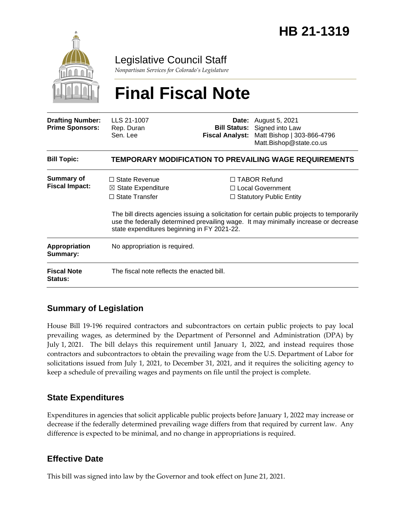

Legislative Council Staff

*Nonpartisan Services for Colorado's Legislature*

# **Final Fiscal Note**

| <b>Drafting Number:</b><br><b>Prime Sponsors:</b> | LLS 21-1007<br>Rep. Duran<br>Sen. Lee                                                                                         |  | <b>Date:</b> August 5, 2021<br><b>Bill Status:</b> Signed into Law<br>Fiscal Analyst: Matt Bishop   303-866-4796<br>Matt.Bishop@state.co.us                                                                                                                            |  |
|---------------------------------------------------|-------------------------------------------------------------------------------------------------------------------------------|--|------------------------------------------------------------------------------------------------------------------------------------------------------------------------------------------------------------------------------------------------------------------------|--|
| <b>Bill Topic:</b>                                | TEMPORARY MODIFICATION TO PREVAILING WAGE REQUIREMENTS                                                                        |  |                                                                                                                                                                                                                                                                        |  |
| <b>Summary of</b><br><b>Fiscal Impact:</b>        | $\Box$ State Revenue<br>$\boxtimes$ State Expenditure<br>$\Box$ State Transfer<br>state expenditures beginning in FY 2021-22. |  | $\Box$ TABOR Refund<br>$\Box$ Local Government<br>$\Box$ Statutory Public Entity<br>The bill directs agencies issuing a solicitation for certain public projects to temporarily<br>use the federally determined prevailing wage. It may minimally increase or decrease |  |
| Appropriation<br>Summary:                         | No appropriation is required.                                                                                                 |  |                                                                                                                                                                                                                                                                        |  |
| <b>Fiscal Note</b><br><b>Status:</b>              | The fiscal note reflects the enacted bill.                                                                                    |  |                                                                                                                                                                                                                                                                        |  |

### **Summary of Legislation**

House Bill 19-196 required contractors and subcontractors on certain public projects to pay local prevailing wages, as determined by the Department of Personnel and Administration (DPA) by July 1, 2021. The bill delays this requirement until January 1, 2022, and instead requires those contractors and subcontractors to obtain the prevailing wage from the U.S. Department of Labor for solicitations issued from July 1, 2021, to December 31, 2021, and it requires the soliciting agency to keep a schedule of prevailing wages and payments on file until the project is complete.

#### **State Expenditures**

Expenditures in agencies that solicit applicable public projects before January 1, 2022 may increase or decrease if the federally determined prevailing wage differs from that required by current law. Any difference is expected to be minimal, and no change in appropriations is required.

#### **Effective Date**

This bill was signed into law by the Governor and took effect on June 21, 2021.